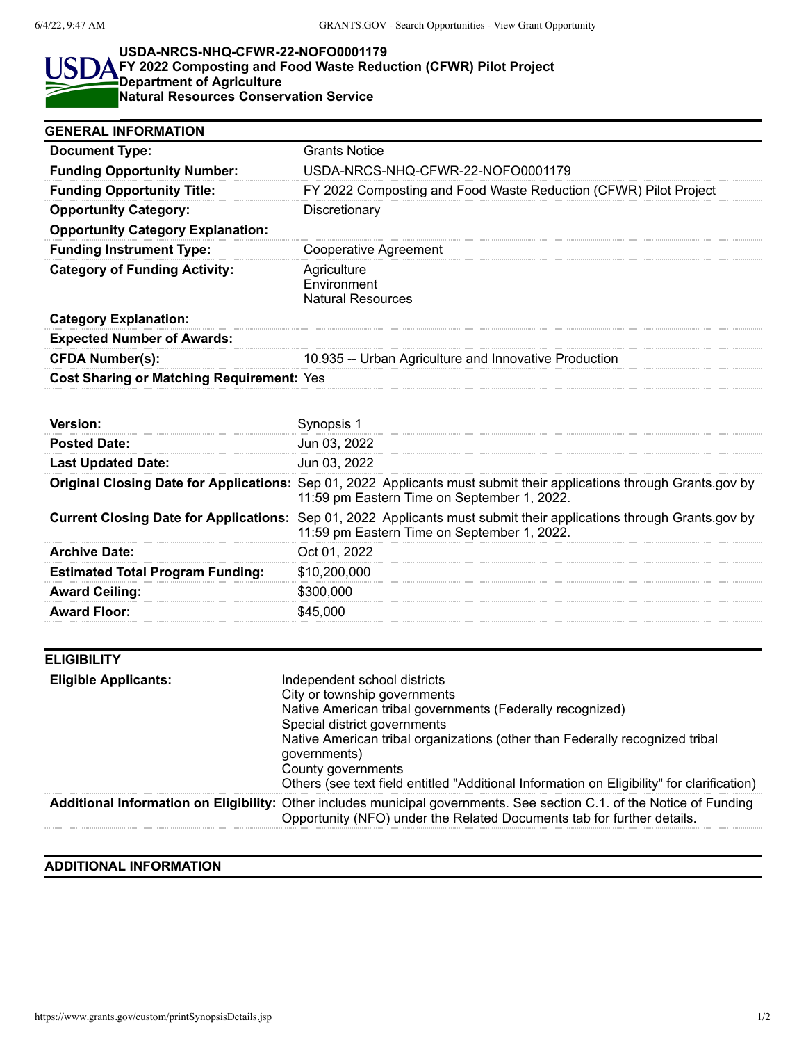S

## **USDA-NRCS-NHQ-CFWR-22-NOFO0001179**

## **FY 2022 Composting and Food Waste Reduction (CFWR) Pilot Project Department of Agriculture Natural Resources Conservation Service**

| <b>GENERAL INFORMATION</b>                       |                                                                  |
|--------------------------------------------------|------------------------------------------------------------------|
| <b>Document Type:</b>                            | <b>Grants Notice</b>                                             |
| <b>Funding Opportunity Number:</b>               | USDA-NRCS-NHQ-CFWR-22-NOFO0001179                                |
| <b>Funding Opportunity Title:</b>                | FY 2022 Composting and Food Waste Reduction (CFWR) Pilot Project |
| <b>Opportunity Category:</b>                     | Discretionary                                                    |
| <b>Opportunity Category Explanation:</b>         |                                                                  |
| <b>Funding Instrument Type:</b>                  | Cooperative Agreement                                            |
| <b>Category of Funding Activity:</b>             | Agriculture<br>Environment<br><b>Natural Resources</b>           |
| <b>Category Explanation:</b>                     |                                                                  |
| <b>Expected Number of Awards:</b>                |                                                                  |
| <b>CFDA Number(s):</b>                           | 10.935 -- Urban Agriculture and Innovative Production            |
| <b>Cost Sharing or Matching Requirement: Yes</b> |                                                                  |
|                                                  |                                                                  |
|                                                  |                                                                  |

| Version <sup>.</sup>                    |                                                                                                                                                                           |
|-----------------------------------------|---------------------------------------------------------------------------------------------------------------------------------------------------------------------------|
| <b>Posted Date:</b>                     | Jun 03, 2022                                                                                                                                                              |
| <b>Last Updated Date:</b>               | Jun 03, 2022                                                                                                                                                              |
|                                         | Original Closing Date for Applications: Sep 01, 2022 Applicants must submit their applications through Grants.gov by<br>11:59 pm Eastern Time on September 1, 2022.       |
|                                         | <b>Current Closing Date for Applications:</b> Sep 01, 2022 Applicants must submit their applications through Grants.gov by<br>11:59 pm Eastern Time on September 1, 2022. |
| <b>Archive Date:</b>                    | Oct 01, 2022                                                                                                                                                              |
| <b>Estimated Total Program Funding:</b> | \$10,200,000                                                                                                                                                              |
| <b>Award Ceiling:</b>                   | \$300,000                                                                                                                                                                 |
| <b>Award Floor:</b>                     | \$45 000                                                                                                                                                                  |

| <b>ELIGIBILITY</b>          |                                                                                                                                                                                                  |
|-----------------------------|--------------------------------------------------------------------------------------------------------------------------------------------------------------------------------------------------|
| <b>Eligible Applicants:</b> | Independent school districts<br>City or township governments                                                                                                                                     |
|                             | Native American tribal governments (Federally recognized)<br>Special district governments                                                                                                        |
|                             | Native American tribal organizations (other than Federally recognized tribal<br>governments)                                                                                                     |
|                             | County governments<br>Others (see text field entitled "Additional Information on Eligibility" for clarification)                                                                                 |
|                             | Additional Information on Eligibility: Other includes municipal governments. See section C.1. of the Notice of Funding<br>Opportunity (NFO) under the Related Documents tab for further details. |

## **ADDITIONAL INFORMATION**